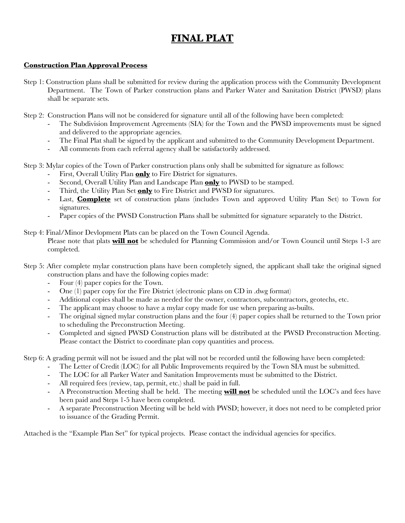# **FINAL PLAT**

### **Construction Plan Approval Process**

- Step 1: Construction plans shall be submitted for review during the application process with the Community Development Department. The Town of Parker construction plans and Parker Water and Sanitation District (PWSD) plans shall be separate sets.
- Step 2: Construction Plans will not be considered for signature until all of the following have been completed:
	- The Subdivision Improvement Agreements (SIA) for the Town and the PWSD improvements must be signed and delivered to the appropriate agencies.
	- The Final Plat shall be signed by the applicant and submitted to the Community Development Department.
	- All comments from each referral agency shall be satisfactorily addressed.
- Step 3: Mylar copies of the Town of Parker construction plans only shall be submitted for signature as follows:
	- First, Overall Utility Plan **only** to Fire District for signatures.
	- Second, Overall Utility Plan and Landscape Plan **only** to PWSD to be stamped.
	- Third, the Utility Plan Set **only** to Fire District and PWSD for signatures.
	- Last, **Complete** set of construction plans (includes Town and approved Utility Plan Set) to Town for signatures.
	- Paper copies of the PWSD Construction Plans shall be submitted for signature separately to the District.

Step 4: Final/Minor Devlopment Plats can be placed on the Town Council Agenda.

Please note that plats **will not** be scheduled for Planning Commission and/or Town Council until Steps 1-3 are completed.

- Step 5: After complete mylar construction plans have been completely signed, the applicant shall take the original signed construction plans and have the following copies made:
	- Four (4) paper copies for the Town.
	- One (1) paper copy for the Fire District (electronic plans on CD in .dwg format)
	- Additional copies shall be made as needed for the owner, contractors, subcontractors, geotechs, etc.
	- The applicant may choose to have a mylar copy made for use when preparing as-builts.
	- The original signed mylar construction plans and the four (4) paper copies shall be returned to the Town prior to scheduling the Preconstruction Meeting.
	- Completed and signed PWSD Construction plans will be distributed at the PWSD Preconstruction Meeting. Please contact the District to coordinate plan copy quantities and process.

Step 6: A grading permit will not be issued and the plat will not be recorded until the following have been completed:

- The Letter of Credit (LOC) for all Public Improvements required by the Town SIA must be submitted.
- The LOC for all Parker Water and Sanitation Improvements must be submitted to the District.
- All required fees (review, tap, permit, etc.) shall be paid in full.
- A Preconstruction Meeting shall be held. The meeting **will not** be scheduled until the LOC's and fees have been paid and Steps 1-5 have been completed.
- A separate Preconstruction Meeting will be held with PWSD; however, it does not need to be completed prior to issuance of the Grading Permit.

Attached is the "Example Plan Set" for typical projects. Please contact the individual agencies for specifics.